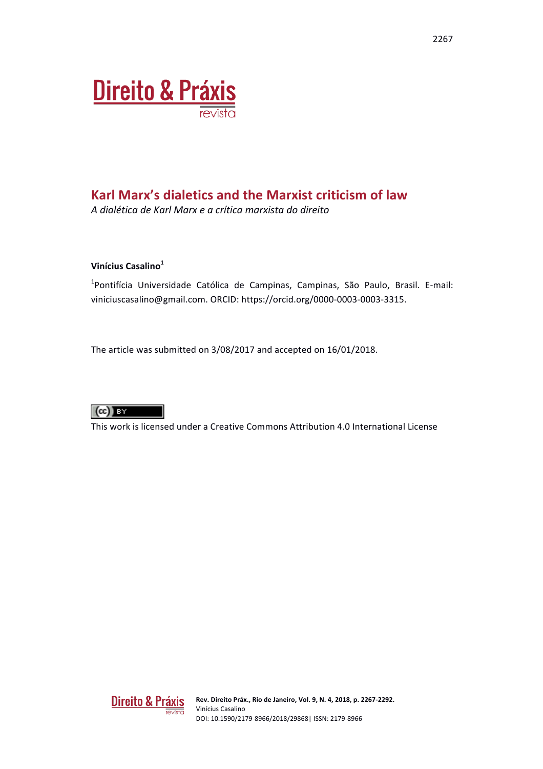

# **Karl Marx's dialetics and the Marxist criticism of law**

*A dialética de Karl Marx e a crítica marxista do direito*

## **Vinícius Casalino<sup>1</sup>**

<sup>1</sup>Pontifícia Universidade Católica de Campinas, Campinas, São Paulo, Brasil. E-mail: viniciuscasalino@gmail.com. ORCID: https://orcid.org/0000-0003-0003-3315.

The article was submitted on 3/08/2017 and accepted on 16/01/2018.

# $(cc)$  BY

This work is licensed under a Creative Commons Attribution 4.0 International License

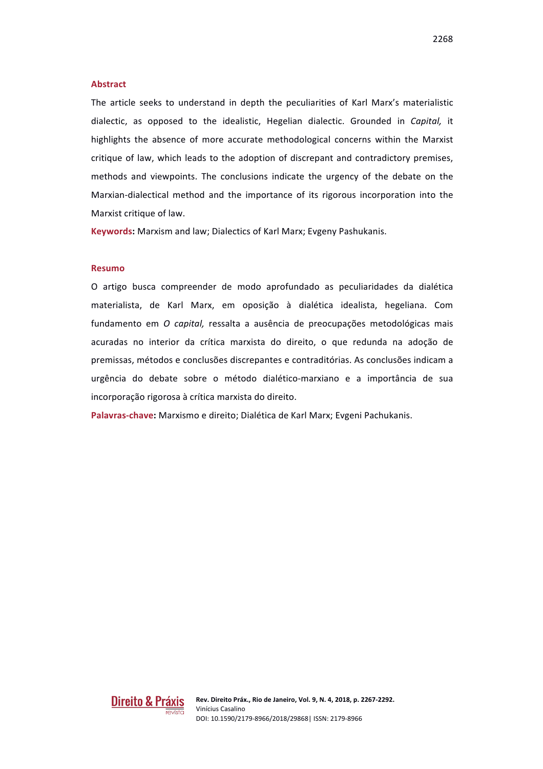#### **Abstract**

The article seeks to understand in depth the peculiarities of Karl Marx's materialistic dialectic, as opposed to the idealistic, Hegelian dialectic. Grounded in *Capital*, it highlights the absence of more accurate methodological concerns within the Marxist critique of law, which leads to the adoption of discrepant and contradictory premises, methods and viewpoints. The conclusions indicate the urgency of the debate on the Marxian-dialectical method and the importance of its rigorous incorporation into the Marxist critique of law.

**Keywords:** Marxism and law; Dialectics of Karl Marx; Evgeny Pashukanis.

#### **Resumo**

O artigo busca compreender de modo aprofundado as peculiaridades da dialética materialista, de Karl Marx, em oposição à dialética idealista, hegeliana. Com fundamento em *O capital,* ressalta a ausência de preocupações metodológicas mais acuradas no interior da crítica marxista do direito, o que redunda na adoção de premissas, métodos e conclusões discrepantes e contraditórias. As conclusões indicam a urgência do debate sobre o método dialético-marxiano e a importância de sua incorporação rigorosa à crítica marxista do direito.

Palavras-chave: Marxismo e direito: Dialética de Karl Marx; Evgeni Pachukanis.

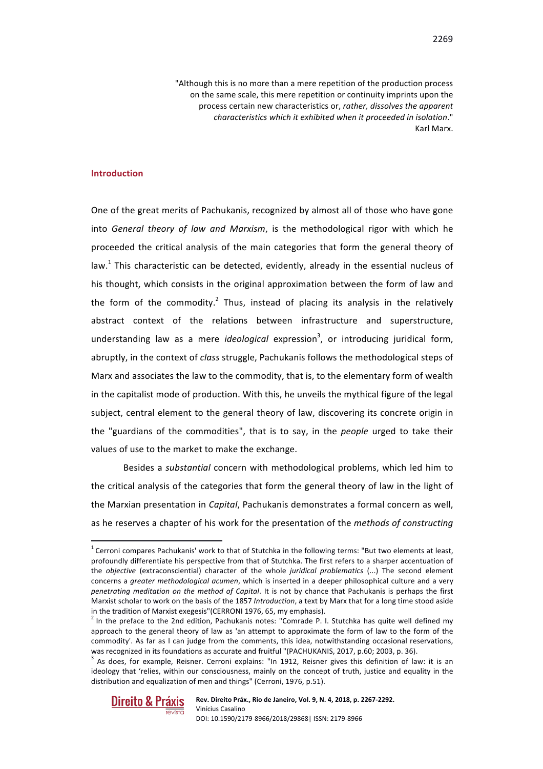"Although this is no more than a mere repetition of the production process on the same scale, this mere repetition or continuity imprints upon the process certain new characteristics or, *rather, dissolves the apparent characteristics which it exhibited when it proceeded in isolation*." Karl Marx.

#### **Introduction**

One of the great merits of Pachukanis, recognized by almost all of those who have gone into *General theory of law and Marxism*, is the methodological rigor with which he proceeded the critical analysis of the main categories that form the general theory of law.<sup>1</sup> This characteristic can be detected, evidently, already in the essential nucleus of his thought, which consists in the original approximation between the form of law and the form of the commodity.<sup>2</sup> Thus, instead of placing its analysis in the relatively abstract context of the relations between infrastructure and superstructure, understanding law as a mere *ideological* expression<sup>3</sup>, or introducing juridical form, abruptly, in the context of *class* struggle, Pachukanis follows the methodological steps of Marx and associates the law to the commodity, that is, to the elementary form of wealth in the capitalist mode of production. With this, he unveils the mythical figure of the legal subject, central element to the general theory of law, discovering its concrete origin in the "guardians of the commodities", that is to say, in the *people* urged to take their values of use to the market to make the exchange.

Besides a *substantial* concern with methodological problems, which led him to the critical analysis of the categories that form the general theory of law in the light of the Marxian presentation in *Capital*, Pachukanis demonstrates a formal concern as well, as he reserves a chapter of his work for the presentation of the *methods of constructing* 

 $3$  As does, for example, Reisner. Cerroni explains: "In 1912, Reisner gives this definition of law: it is an ideology that 'relies, within our consciousness, mainly on the concept of truth, justice and equality in the distribution and equalization of men and things" (Cerroni, 1976, p.51).



 $1$  Cerroni compares Pachukanis' work to that of Stutchka in the following terms: "But two elements at least, profoundly differentiate his perspective from that of Stutchka. The first refers to a sharper accentuation of the *objective* (extraconsciential) character of the whole *juridical problematics* (...) The second element concerns a *greater methodological acumen*, which is inserted in a deeper philosophical culture and a very *penetrating meditation on the method of Capital.* It is not by chance that Pachukanis is perhaps the first Marxist scholar to work on the basis of the 1857 *Introduction*, a text by Marx that for a long time stood aside in the tradition of Marxist exegesis"(CERRONI 1976, 65, my emphasis).

 $^2$  In the preface to the 2nd edition, Pachukanis notes: "Comrade P. I. Stutchka has quite well defined my approach to the general theory of law as 'an attempt to approximate the form of law to the form of the commodity'. As far as I can judge from the comments, this idea, notwithstanding occasional reservations, was recognized in its foundations as accurate and fruitful "(PACHUKANIS, 2017, p.60; 2003, p. 36).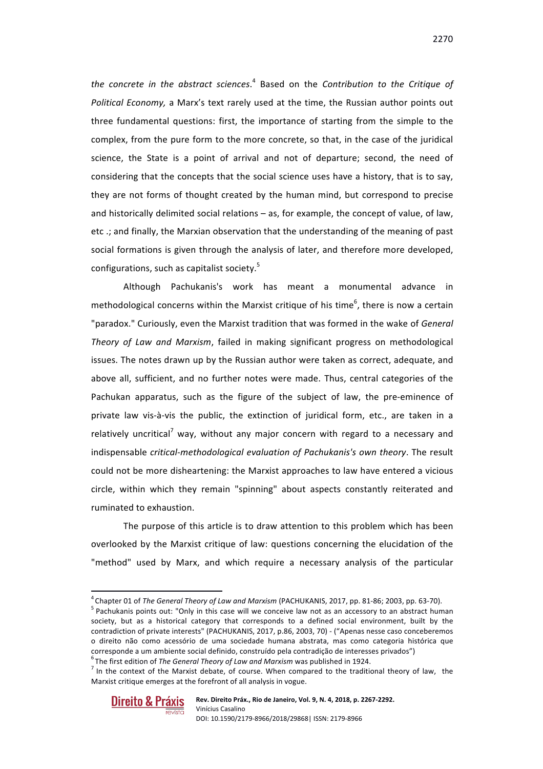the concrete in the abstract sciences.<sup>4</sup> Based on the Contribution to the Critique of Political Economy, a Marx's text rarely used at the time, the Russian author points out three fundamental questions: first, the importance of starting from the simple to the complex, from the pure form to the more concrete, so that, in the case of the juridical science, the State is a point of arrival and not of departure; second, the need of considering that the concepts that the social science uses have a history, that is to say, they are not forms of thought created by the human mind, but correspond to precise and historically delimited social relations  $-$  as, for example, the concept of value, of law, etc .; and finally, the Marxian observation that the understanding of the meaning of past social formations is given through the analysis of later, and therefore more developed, configurations, such as capitalist society. $5$ 

Although Pachukanis's work has meant a monumental advance in methodological concerns within the Marxist critique of his time<sup>6</sup>, there is now a certain "paradox." Curiously, even the Marxist tradition that was formed in the wake of *General Theory of Law and Marxism*, failed in making significant progress on methodological issues. The notes drawn up by the Russian author were taken as correct, adequate, and above all, sufficient, and no further notes were made. Thus, central categories of the Pachukan apparatus, such as the figure of the subject of law, the pre-eminence of private law vis-à-vis the public, the extinction of iuridical form, etc., are taken in a relatively uncritical<sup>7</sup> way, without any major concern with regard to a necessary and indispensable *critical-methodological evaluation of Pachukanis's* own theory. The result could not be more disheartening: the Marxist approaches to law have entered a vicious circle, within which they remain "spinning" about aspects constantly reiterated and ruminated to exhaustion.

The purpose of this article is to draw attention to this problem which has been overlooked by the Marxist critique of law: questions concerning the elucidation of the "method" used by Marx, and which require a necessary analysis of the particular

The *instrumeral* of the Marxist debate, of course. When compared to the traditional theory of law, the Marxist critique emerges at the forefront of all analysis in vogue.



2270

 $^4$  Chapter 01 of The General Theory of Law and Marxism (PACHUKANIS, 2017, pp. 81-86; 2003, pp. 63-70).

<sup>&</sup>lt;sup>5</sup> Pachukanis points out: "Only in this case will we conceive law not as an accessory to an abstract human society, but as a historical category that corresponds to a defined social environment, built by the contradiction of private interests" (PACHUKANIS, 2017, p.86, 2003, 70) - ("Apenas nesse caso conceberemos o direito não como acessório de uma sociedade humana abstrata, mas como categoria histórica que corresponde a um ambiente social definido, construído pela contradição de interesses privados")<br>
<sup>6</sup> The first edition of *The General Theory of Law and Marxism* was published in 1924.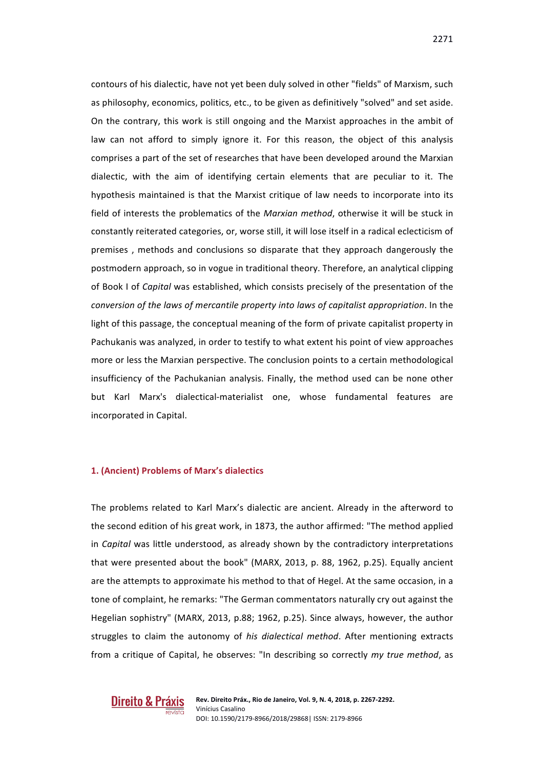contours of his dialectic, have not yet been duly solved in other "fields" of Marxism, such as philosophy, economics, politics, etc., to be given as definitively "solved" and set aside. On the contrary, this work is still ongoing and the Marxist approaches in the ambit of law can not afford to simply ignore it. For this reason, the object of this analysis comprises a part of the set of researches that have been developed around the Marxian dialectic, with the aim of identifying certain elements that are peculiar to it. The hypothesis maintained is that the Marxist critique of law needs to incorporate into its field of interests the problematics of the *Marxian method*, otherwise it will be stuck in constantly reiterated categories, or, worse still, it will lose itself in a radical eclecticism of premises, methods and conclusions so disparate that they approach dangerously the postmodern approach, so in vogue in traditional theory. Therefore, an analytical clipping of Book I of *Capital* was established, which consists precisely of the presentation of the *conversion of the laws of mercantile property into laws of capitalist appropriation*. In the light of this passage, the conceptual meaning of the form of private capitalist property in Pachukanis was analyzed, in order to testify to what extent his point of view approaches more or less the Marxian perspective. The conclusion points to a certain methodological insufficiency of the Pachukanian analysis. Finally, the method used can be none other but Karl Marx's dialectical-materialist one, whose fundamental features are incorporated in Capital.

#### **1. (Ancient) Problems of Marx's dialectics**

The problems related to Karl Marx's dialectic are ancient. Already in the afterword to the second edition of his great work, in 1873, the author affirmed: "The method applied in *Capital* was little understood, as already shown by the contradictory interpretations that were presented about the book" (MARX, 2013, p. 88, 1962, p.25). Equally ancient are the attempts to approximate his method to that of Hegel. At the same occasion, in a tone of complaint, he remarks: "The German commentators naturally cry out against the Hegelian sophistry" (MARX, 2013, p.88; 1962, p.25). Since always, however, the author struggles to claim the autonomy of *his dialectical method*. After mentioning extracts from a critique of Capital, he observes: "In describing so correctly *my true method*, as



**Rev. Direito Práx., Rio de Janeiro, Vol. 9, N. 4, 2018, p. 2267-2292.** Vinícius Casalino DOI: 10.1590/2179-8966/2018/29868| ISSN: 2179-8966

2271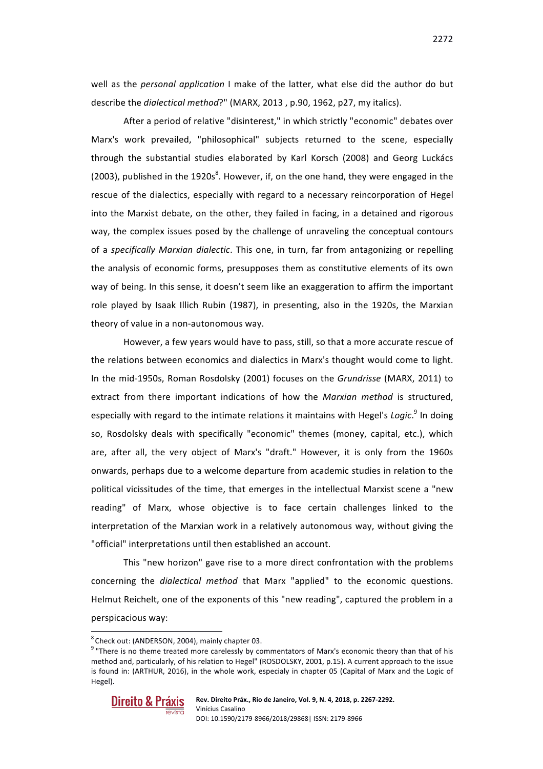well as the *personal application* I make of the latter, what else did the author do but describe the *dialectical method*?" (MARX, 2013, p.90, 1962, p27, my italics).

After a period of relative "disinterest," in which strictly "economic" debates over Marx's work prevailed, "philosophical" subjects returned to the scene, especially through the substantial studies elaborated by Karl Korsch (2008) and Georg Luckács (2003), published in the 1920s<sup>8</sup>. However, if, on the one hand, they were engaged in the rescue of the dialectics, especially with regard to a necessary reincorporation of Hegel into the Marxist debate, on the other, they failed in facing, in a detained and rigorous way, the complex issues posed by the challenge of unraveling the conceptual contours of a *specifically Marxian dialectic*. This one, in turn, far from antagonizing or repelling the analysis of economic forms, presupposes them as constitutive elements of its own way of being. In this sense, it doesn't seem like an exaggeration to affirm the important role played by Isaak Illich Rubin (1987), in presenting, also in the 1920s, the Marxian theory of value in a non-autonomous way.

However, a few years would have to pass, still, so that a more accurate rescue of the relations between economics and dialectics in Marx's thought would come to light. In the mid-1950s, Roman Rosdolsky (2001) focuses on the *Grundrisse* (MARX, 2011) to extract from there important indications of how the *Marxian method* is structured, especially with regard to the intimate relations it maintains with Hegel's *Logic*.<sup>9</sup> In doing so, Rosdolsky deals with specifically "economic" themes (money, capital, etc.), which are, after all, the very object of Marx's "draft." However, it is only from the 1960s onwards, perhaps due to a welcome departure from academic studies in relation to the political vicissitudes of the time, that emerges in the intellectual Marxist scene a "new reading" of Marx, whose objective is to face certain challenges linked to the interpretation of the Marxian work in a relatively autonomous way, without giving the "official" interpretations until then established an account.

This "new horizon" gave rise to a more direct confrontation with the problems concerning the *dialectical method* that Marx "applied" to the economic questions. Helmut Reichelt, one of the exponents of this "new reading", captured the problem in a perspicacious way:

 $9$  "There is no theme treated more carelessly by commentators of Marx's economic theory than that of his method and, particularly, of his relation to Hegel" (ROSDOLSKY, 2001, p.15). A current approach to the issue is found in: (ARTHUR, 2016), in the whole work, especialy in chapter 05 (Capital of Marx and the Logic of Hegel).



 $^8$ Check out: (ANDERSON, 2004), mainly chapter 03.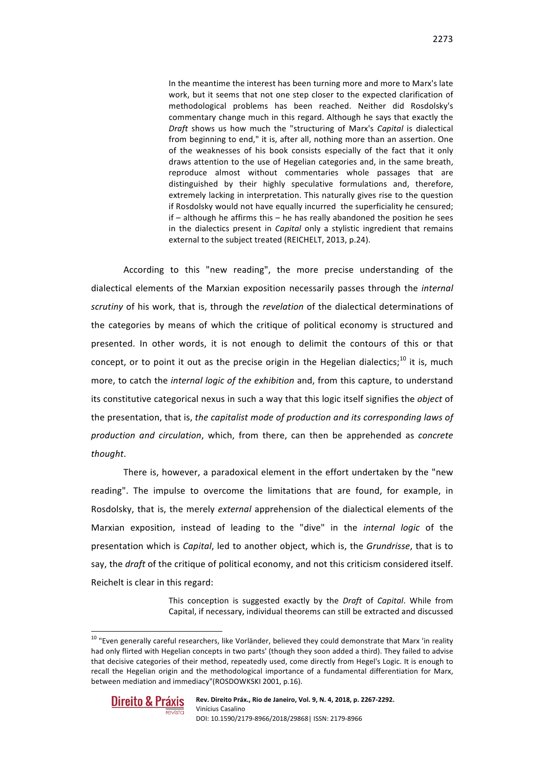In the meantime the interest has been turning more and more to Marx's late work, but it seems that not one step closer to the expected clarification of methodological problems has been reached. Neither did Rosdolsky's commentary change much in this regard. Although he says that exactly the *Draft* shows us how much the "structuring of Marx's *Capital* is dialectical from beginning to end," it is, after all, nothing more than an assertion. One of the weaknesses of his book consists especially of the fact that it only draws attention to the use of Hegelian categories and, in the same breath, reproduce almost without commentaries whole passages that are distinguished by their highly speculative formulations and, therefore, extremely lacking in interpretation. This naturally gives rise to the question if Rosdolsky would not have equally incurred the superficiality he censured; if  $-$  although he affirms this  $-$  he has really abandoned the position he sees in the dialectics present in *Capital* only a stylistic ingredient that remains external to the subject treated (REICHELT, 2013, p.24).

According to this "new reading", the more precise understanding of the dialectical elements of the Marxian exposition necessarily passes through the *internal* scrutiny of his work, that is, through the *revelation* of the dialectical determinations of the categories by means of which the critique of political economy is structured and presented. In other words, it is not enough to delimit the contours of this or that concept, or to point it out as the precise origin in the Hegelian dialectics;<sup>10</sup> it is, much more, to catch the *internal logic of the exhibition* and, from this capture, to understand its constitutive categorical nexus in such a way that this logic itself signifies the *object* of the presentation, that is, the capitalist mode of production and its corresponding laws of *production and circulation*, which, from there, can then be apprehended as *concrete thought*.

There is, however, a paradoxical element in the effort undertaken by the "new reading". The impulse to overcome the limitations that are found, for example, in Rosdolsky, that is, the merely *external* apprehension of the dialectical elements of the Marxian exposition, instead of leading to the "dive" in the *internal logic* of the presentation which is *Capital*, led to another object, which is, the *Grundrisse*, that is to say, the *draft* of the critique of political economy, and not this criticism considered itself. Reichelt is clear in this regard:

> This conception is suggested exactly by the *Draft* of *Capital*. While from Capital, if necessary, individual theorems can still be extracted and discussed

 $10$  "Even generally careful researchers, like Vorländer, believed they could demonstrate that Marx 'in reality had only flirted with Hegelian concepts in two parts' (though they soon added a third). They failed to advise that decisive categories of their method, repeatedly used, come directly from Hegel's Logic. It is enough to recall the Hegelian origin and the methodological importance of a fundamental differentiation for Marx, between mediation and immediacy"(ROSDOWKSKI 2001, p.16).

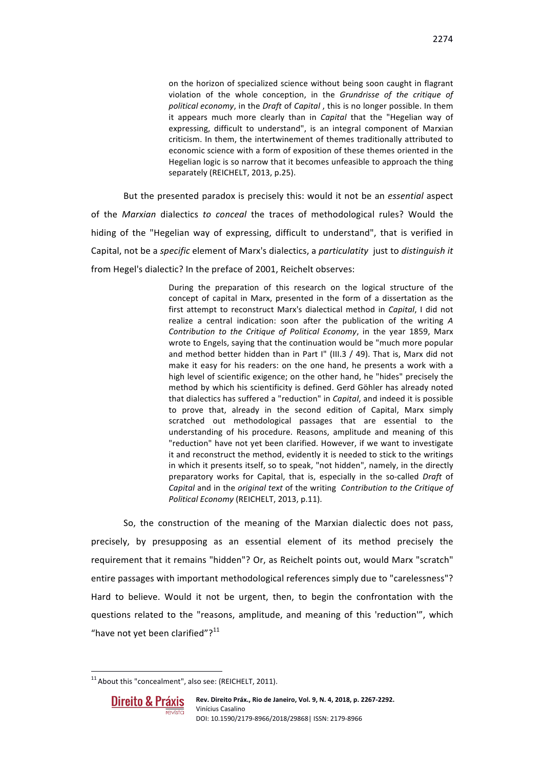on the horizon of specialized science without being soon caught in flagrant violation of the whole conception, in the *Grundrisse of the critique of political economy*, in the *Draft* of *Capital*, this is no longer possible. In them it appears much more clearly than in *Capital* that the "Hegelian way of expressing, difficult to understand", is an integral component of Marxian criticism. In them, the intertwinement of themes traditionally attributed to economic science with a form of exposition of these themes oriented in the Hegelian logic is so narrow that it becomes unfeasible to approach the thing separately (REICHELT, 2013, p.25).

But the presented paradox is precisely this: would it not be an *essential* aspect of the *Marxian* dialectics to conceal the traces of methodological rules? Would the hiding of the "Hegelian way of expressing, difficult to understand", that is verified in Capital, not be a *specific* element of Marx's dialectics, a *particulatity*  just to *distinguish it* from Hegel's dialectic? In the preface of 2001, Reichelt observes:

> During the preparation of this research on the logical structure of the concept of capital in Marx, presented in the form of a dissertation as the first attempt to reconstruct Marx's dialectical method in *Capital*, I did not realize a central indication: soon after the publication of the writing A *Contribution to the Critique of Political Economy*, in the year 1859, Marx wrote to Engels, saying that the continuation would be "much more popular and method better hidden than in Part I" (III.3  $/$  49). That is, Marx did not make it easy for his readers: on the one hand, he presents a work with a high level of scientific exigence; on the other hand, he "hides" precisely the method by which his scientificity is defined. Gerd Göhler has already noted that dialectics has suffered a "reduction" in *Capital*, and indeed it is possible to prove that, already in the second edition of Capital, Marx simply scratched out methodological passages that are essential to the understanding of his procedure. Reasons, amplitude and meaning of this "reduction" have not yet been clarified. However, if we want to investigate it and reconstruct the method, evidently it is needed to stick to the writings in which it presents itself, so to speak, "not hidden", namely, in the directly preparatory works for Capital, that is, especially in the so-called *Draft* of *Capital* and in the *original* text of the writing *Contribution* to the *Critique* of *Political Economy* (REICHELT, 2013, p.11).

So, the construction of the meaning of the Marxian dialectic does not pass, precisely, by presupposing as an essential element of its method precisely the requirement that it remains "hidden"? Or, as Reichelt points out, would Marx "scratch" entire passages with important methodological references simply due to "carelessness"? Hard to believe. Would it not be urgent, then, to begin the confrontation with the questions related to the "reasons, amplitude, and meaning of this 'reduction'", which "have not yet been clarified"? $11$ 

 $11$ About this "concealment", also see: (REICHELT, 2011).

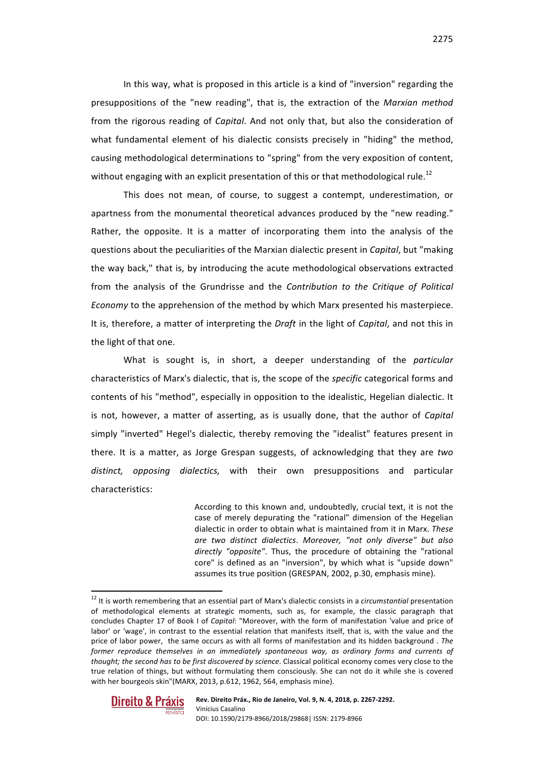In this way, what is proposed in this article is a kind of "inversion" regarding the presuppositions of the "new reading", that is, the extraction of the *Marxian method* from the rigorous reading of *Capital*. And not only that, but also the consideration of what fundamental element of his dialectic consists precisely in "hiding" the method, causing methodological determinations to "spring" from the very exposition of content, without engaging with an explicit presentation of this or that methodological rule.<sup>12</sup>

This does not mean, of course, to suggest a contempt, underestimation, or apartness from the monumental theoretical advances produced by the "new reading." Rather, the opposite. It is a matter of incorporating them into the analysis of the questions about the peculiarities of the Marxian dialectic present in *Capital*, but "making the way back," that is, by introducing the acute methodological observations extracted from the analysis of the Grundrisse and the *Contribution* to the *Critique of Political Economy* to the apprehension of the method by which Marx presented his masterpiece. It is, therefore, a matter of interpreting the *Draft* in the light of *Capital*, and not this in the light of that one.

What is sought is, in short, a deeper understanding of the *particular* characteristics of Marx's dialectic, that is, the scope of the *specific* categorical forms and contents of his "method", especially in opposition to the idealistic, Hegelian dialectic. It is not, however, a matter of asserting, as is usually done, that the author of *Capital* simply "inverted" Hegel's dialectic, thereby removing the "idealist" features present in there. It is a matter, as Jorge Grespan suggests, of acknowledging that they are *two* distinct, opposing dialectics, with their own presuppositions and particular characteristics: 

> According to this known and, undoubtedly, crucial text, it is not the case of merely depurating the "rational" dimension of the Hegelian dialectic in order to obtain what is maintained from it in Marx. These *are two distinct dialectics*. *Moreover, "not only diverse" but also*  directly "opposite". Thus, the procedure of obtaining the "rational core" is defined as an "inversion", by which what is "upside down" assumes its true position (GRESPAN, 2002, p.30, emphasis mine).

<sup>&</sup>lt;sup>12</sup> It is worth remembering that an essential part of Marx's dialectic consists in a *circumstantial* presentation of methodological elements at strategic moments, such as, for example, the classic paragraph that concludes Chapter 17 of Book I of *Capital*: "Moreover, with the form of manifestation 'value and price of labor' or 'wage', in contrast to the essential relation that manifests itself, that is, with the value and the price of labor power, the same occurs as with all forms of manifestation and its hidden background . The *former reproduce themselves in an immediately spontaneous way, as ordinary forms and currents of thought;* the second has to be first discovered by science. Classical political economy comes very close to the true relation of things, but without formulating them consciously. She can not do it while she is covered with her bourgeois skin"(MARX, 2013, p.612, 1962, 564, emphasis mine).

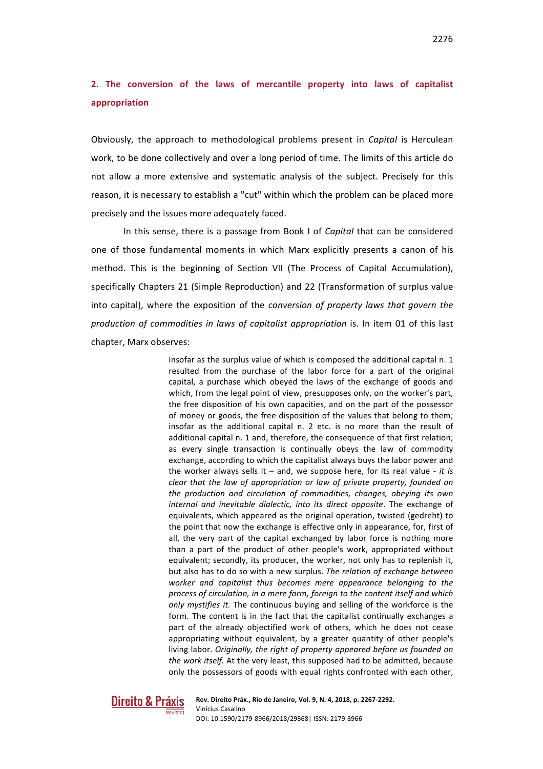Obviously, the approach to methodological problems present in *Capital* is Herculean work, to be done collectively and over a long period of time. The limits of this article do not allow a more extensive and systematic analysis of the subject. Precisely for this reason, it is necessary to establish a "cut" within which the problem can be placed more precisely and the issues more adequately faced.

In this sense, there is a passage from Book I of *Capital* that can be considered one of those fundamental moments in which Marx explicitly presents a canon of his method. This is the beginning of Section VII (The Process of Capital Accumulation), specifically Chapters 21 (Simple Reproduction) and 22 (Transformation of surplus value into capital), where the exposition of the *conversion* of property laws that govern the *production of commodities in laws of capitalist appropriation* is. In item 01 of this last chapter, Marx observes:

> Insofar as the surplus value of which is composed the additional capital n. 1 resulted from the purchase of the labor force for a part of the original capital, a purchase which obeyed the laws of the exchange of goods and which, from the legal point of view, presupposes only, on the worker's part, the free disposition of his own capacities, and on the part of the possessor of money or goods, the free disposition of the values that belong to them; insofar as the additional capital n. 2 etc. is no more than the result of additional capital n. 1 and, therefore, the consequence of that first relation; as every single transaction is continually obeys the law of commodity exchange, according to which the capitalist always buys the labor power and the worker always sells it  $-$  and, we suppose here, for its real value  $-$  *it is clear that the law of appropriation or law of private property, founded on* the production and circulation of commodities, changes, obeying its own internal and inevitable dialectic, into its direct opposite. The exchange of equivalents, which appeared as the original operation, twisted (gedreht) to the point that now the exchange is effective only in appearance, for, first of all, the very part of the capital exchanged by labor force is nothing more than a part of the product of other people's work, appropriated without equivalent; secondly, its producer, the worker, not only has to replenish it, but also has to do so with a new surplus. The relation of exchange between worker and capitalist thus becomes mere appearance belonging to the process of circulation, in a mere form, foreign to the content itself and which *only mystifies it.* The continuous buying and selling of the workforce is the form. The content is in the fact that the capitalist continually exchanges a part of the already objectified work of others, which he does not cease appropriating without equivalent, by a greater quantity of other people's living labor. *Originally, the right of property appeared before us founded on the work itself.* At the very least, this supposed had to be admitted, because only the possessors of goods with equal rights confronted with each other,

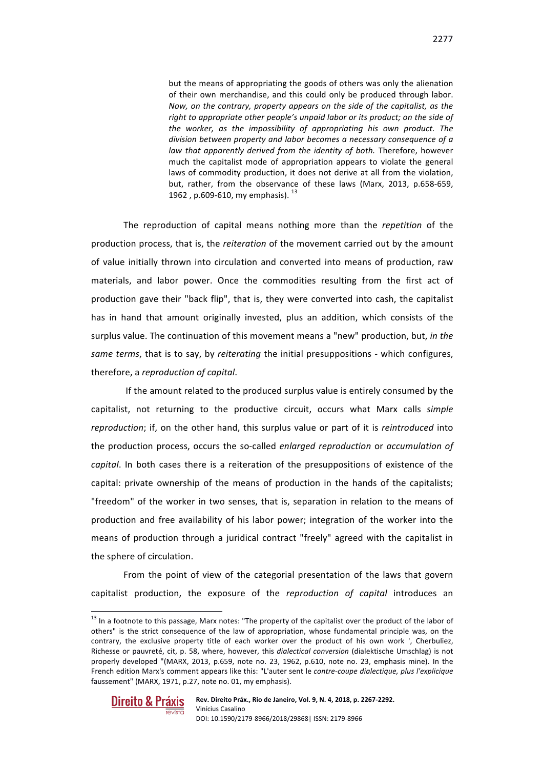but the means of appropriating the goods of others was only the alienation of their own merchandise, and this could only be produced through labor. *Now, on the contrary, property appears on the side of the capitalist, as the* right to appropriate other people's unpaid labor or its product; on the side of *the worker, as the impossibility of appropriating his own product. The* division between property and labor becomes a necessary consequence of a *law that apparently derived from the identity of both. Therefore, however* much the capitalist mode of appropriation appears to violate the general laws of commodity production, it does not derive at all from the violation, but, rather, from the observance of these laws (Marx, 2013, p.658-659, 1962, p.609-610, my emphasis). <sup>13</sup>

The reproduction of capital means nothing more than the *repetition* of the production process, that is, the *reiteration* of the movement carried out by the amount of value initially thrown into circulation and converted into means of production, raw materials, and labor power. Once the commodities resulting from the first act of production gave their "back flip", that is, they were converted into cash, the capitalist has in hand that amount originally invested, plus an addition, which consists of the surplus value. The continuation of this movement means a "new" production, but, *in the* same terms, that is to say, by *reiterating* the initial presuppositions - which configures, therefore, a *reproduction of capital*.

If the amount related to the produced surplus value is entirely consumed by the capitalist, not returning to the productive circuit, occurs what Marx calls *simple reproduction*; if, on the other hand, this surplus value or part of it is *reintroduced* into the production process, occurs the so-called *enlarged reproduction* or *accumulation* of *capital*. In both cases there is a reiteration of the presuppositions of existence of the capital: private ownership of the means of production in the hands of the capitalists; "freedom" of the worker in two senses, that is, separation in relation to the means of production and free availability of his labor power; integration of the worker into the means of production through a juridical contract "freely" agreed with the capitalist in the sphere of circulation.

From the point of view of the categorial presentation of the laws that govern capitalist production, the exposure of the *reproduction of capital* introduces an

 $13$  In a footnote to this passage, Marx notes: "The property of the capitalist over the product of the labor of others" is the strict consequence of the law of appropriation, whose fundamental principle was, on the contrary, the exclusive property title of each worker over the product of his own work ', Cherbuliez, Richesse or pauvreté, cit, p. 58, where, however, this *dialectical conversion* (dialektische Umschlag) is not properly developed "(MARX, 2013, p.659, note no. 23, 1962, p.610, note no. 23, emphasis mine). In the French edition Marx's comment appears like this: "L'auter sent le *contre-coupe dialectique, plus l'explicique* faussement" (MARX, 1971, p.27, note no. 01, my emphasis).

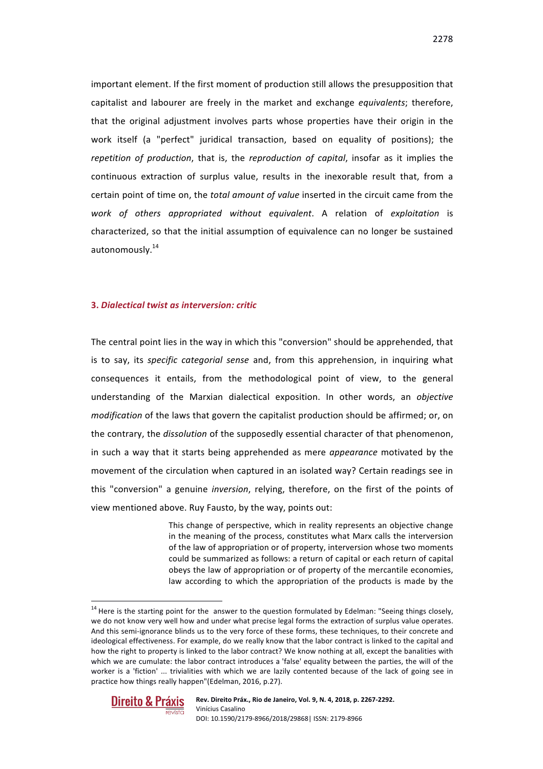important element. If the first moment of production still allows the presupposition that capitalist and labourer are freely in the market and exchange *equivalents*; therefore, that the original adjustment involves parts whose properties have their origin in the work itself (a "perfect" juridical transaction, based on equality of positions); the *repetition of production*, that is, the *reproduction of capital*, insofar as it implies the continuous extraction of surplus value, results in the inexorable result that, from a certain point of time on, the *total amount of value* inserted in the circuit came from the *work of others appropriated without equivalent*. A relation of *exploitation* is characterized, so that the initial assumption of equivalence can no longer be sustained autonomously.<sup>14</sup>

#### **3.** *Dialectical twist as interversion: critic*

The central point lies in the way in which this "conversion" should be apprehended, that is to say, its *specific categorial sense* and, from this apprehension, in inquiring what consequences it entails, from the methodological point of view, to the general understanding of the Marxian dialectical exposition. In other words, an *objective modification* of the laws that govern the capitalist production should be affirmed; or, on the contrary, the *dissolution* of the supposedly essential character of that phenomenon, in such a way that it starts being apprehended as mere *appearance* motivated by the movement of the circulation when captured in an isolated way? Certain readings see in this "conversion" a genuine *inversion*, relying, therefore, on the first of the points of view mentioned above. Ruy Fausto, by the way, points out:

> This change of perspective, which in reality represents an objective change in the meaning of the process, constitutes what Marx calls the interversion of the law of appropriation or of property, interversion whose two moments could be summarized as follows: a return of capital or each return of capital obeys the law of appropriation or of property of the mercantile economies, law according to which the appropriation of the products is made by the

 $14$  Here is the starting point for the answer to the question formulated by Edelman: "Seeing things closely, we do not know very well how and under what precise legal forms the extraction of surplus value operates. And this semi-ignorance blinds us to the very force of these forms, these techniques, to their concrete and ideological effectiveness. For example, do we really know that the labor contract is linked to the capital and how the right to property is linked to the labor contract? We know nothing at all, except the banalities with which we are cumulate: the labor contract introduces a 'false' equality between the parties, the will of the worker is a 'fiction' ... trivialities with which we are lazily contented because of the lack of going see in practice how things really happen"(Edelman, 2016, p.27).

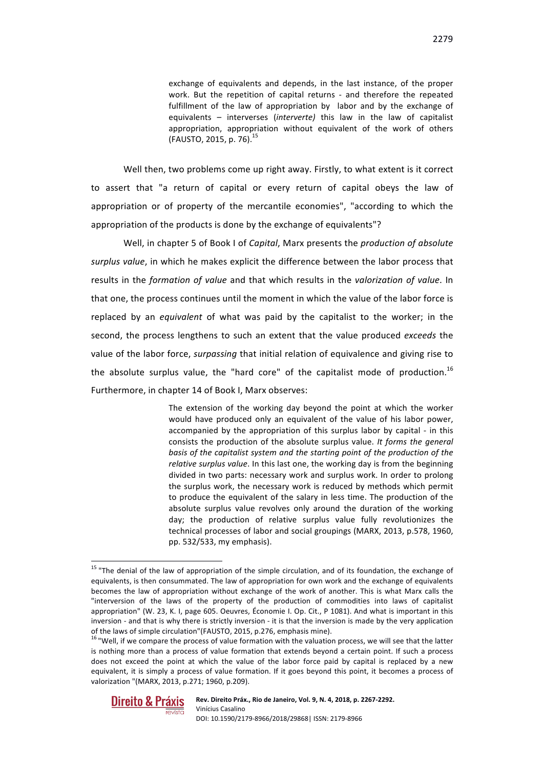exchange of equivalents and depends, in the last instance, of the proper work. But the repetition of capital returns - and therefore the repeated fulfillment of the law of appropriation by labor and by the exchange of equivalents – interverses (*interverte*) this law in the law of capitalist appropriation, appropriation without equivalent of the work of others (FAUSTO, 2015, p. 76). $^{1}$ 

Well then, two problems come up right away. Firstly, to what extent is it correct to assert that "a return of capital or every return of capital obeys the law of appropriation or of property of the mercantile economies", "according to which the appropriation of the products is done by the exchange of equivalents"?

Well, in chapter 5 of Book I of *Capital*, Marx presents the *production of absolute* surplus value, in which he makes explicit the difference between the labor process that results in the *formation of value* and that which results in the *valorization of value*. In that one, the process continues until the moment in which the value of the labor force is replaced by an *equivalent* of what was paid by the capitalist to the worker; in the second, the process lengthens to such an extent that the value produced *exceeds* the value of the labor force, *surpassing* that initial relation of equivalence and giving rise to the absolute surplus value, the "hard core" of the capitalist mode of production.<sup>16</sup> Furthermore, in chapter 14 of Book I, Marx observes:

> The extension of the working day beyond the point at which the worker would have produced only an equivalent of the value of his labor power, accompanied by the appropriation of this surplus labor by capital - in this consists the production of the absolute surplus value. It forms the general *basis* of the capitalist system and the starting point of the production of the relative surplus value. In this last one, the working day is from the beginning divided in two parts: necessary work and surplus work. In order to prolong the surplus work, the necessary work is reduced by methods which permit to produce the equivalent of the salary in less time. The production of the absolute surplus value revolves only around the duration of the working day; the production of relative surplus value fully revolutionizes the technical processes of labor and social groupings (MARX, 2013, p.578, 1960, pp. 532/533, my emphasis).

is nothing more than a process of value formation that extends beyond a certain point. If such a process does not exceed the point at which the value of the labor force paid by capital is replaced by a new equivalent, it is simply a process of value formation. If it goes beyond this point, it becomes a process of valorization "(MARX, 2013, p.271; 1960, p.209).



 $15$  "The denial of the law of appropriation of the simple circulation, and of its foundation, the exchange of equivalents, is then consummated. The law of appropriation for own work and the exchange of equivalents becomes the law of appropriation without exchange of the work of another. This is what Marx calls the "interversion of the laws of the property of the production of commodities into laws of capitalist appropriation" (W. 23, K. I, page 605. Oeuvres, Économie I. Op. Cit., P 1081). And what is important in this inversion - and that is why there is strictly inversion - it is that the inversion is made by the very application of the laws of simple circulation"(FAUSTO, 2015, p.276, emphasis mine).<br><sup>16</sup> "Well, if we compare the process of value formation with the valuation process, we will see that the latter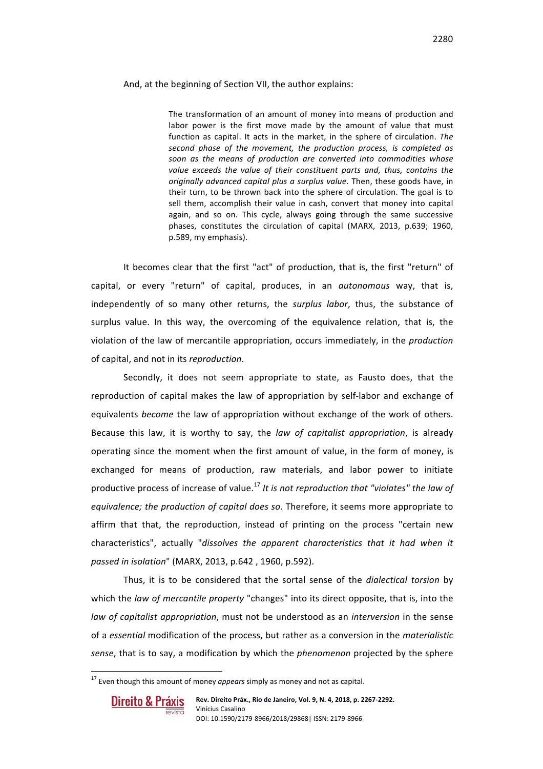#### And, at the beginning of Section VII, the author explains:

The transformation of an amount of money into means of production and labor power is the first move made by the amount of value that must function as capital. It acts in the market, in the sphere of circulation. The *second phase of the movement, the production process, is completed as* soon as the means of production are converted into commodities whose value exceeds the value of their constituent parts and, thus, contains the *originally advanced capital plus a surplus value*. Then, these goods have, in their turn, to be thrown back into the sphere of circulation. The goal is to sell them, accomplish their value in cash, convert that money into capital again, and so on. This cycle, always going through the same successive phases, constitutes the circulation of capital (MARX, 2013, p.639; 1960, p.589, my emphasis).

It becomes clear that the first "act" of production, that is, the first "return" of capital, or every "return" of capital, produces, in an *autonomous* way, that is, independently of so many other returns, the *surplus labor*, thus, the substance of surplus value. In this way, the overcoming of the equivalence relation, that is, the violation of the law of mercantile appropriation, occurs immediately, in the *production* of capital, and not in its *reproduction*.

Secondly, it does not seem appropriate to state, as Fausto does, that the reproduction of capital makes the law of appropriation by self-labor and exchange of equivalents *become* the law of appropriation without exchange of the work of others. Because this law, it is worthy to say, the *law of capitalist appropriation*, is already operating since the moment when the first amount of value, in the form of money, is exchanged for means of production, raw materials, and labor power to initiate productive process of increase of value.<sup>17</sup> It is not reproduction that "violates" the law of equivalence; the production of capital does so. Therefore, it seems more appropriate to affirm that that, the reproduction, instead of printing on the process "certain new characteristics", actually "dissolves the apparent characteristics that it had when it *passed in isolation*" (MARX, 2013, p.642 , 1960, p.592).

Thus, it is to be considered that the sortal sense of the *dialectical torsion* by which the *law of mercantile property* "changes" into its direct opposite, that is, into the *law* of capitalist appropriation, must not be understood as an *interversion* in the sense of a *essential* modification of the process, but rather as a conversion in the *materialistic sense*, that is to say, a modification by which the *phenomenon* projected by the sphere

<sup>&</sup>lt;sup>17</sup> Even though this amount of money *appears* simply as money and not as capital.

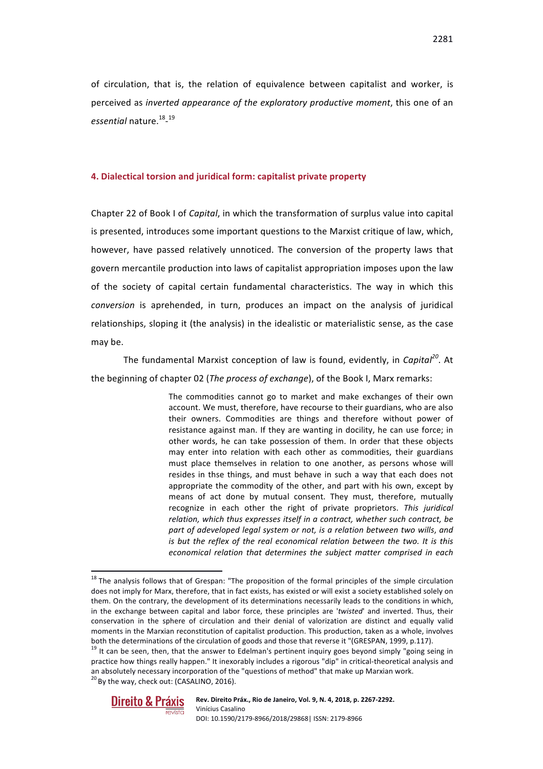of circulation, that is, the relation of equivalence between capitalist and worker, is perceived as *inverted appearance of the exploratory productive moment*, this one of an essential nature.<sup>18</sup>-<sup>19</sup>

#### **4. Dialectical torsion and juridical form: capitalist private property**

Chapter 22 of Book I of *Capital*, in which the transformation of surplus value into capital is presented, introduces some important questions to the Marxist critique of law, which, however, have passed relatively unnoticed. The conversion of the property laws that govern mercantile production into laws of capitalist appropriation imposes upon the law of the society of capital certain fundamental characteristics. The way in which this *conversion* is aprehended, in turn, produces an impact on the analysis of juridical relationships, sloping it (the analysis) in the idealistic or materialistic sense, as the case may be.

The fundamental Marxist conception of law is found, evidently, in *Capital<sup>20</sup>*. At the beginning of chapter 02 (*The process of exchange*), of the Book I, Marx remarks:

> The commodities cannot go to market and make exchanges of their own account. We must, therefore, have recourse to their guardians, who are also their owners. Commodities are things and therefore without power of resistance against man. If they are wanting in docility, he can use force; in other words, he can take possession of them. In order that these objects may enter into relation with each other as commodities, their guardians must place themselves in relation to one another, as persons whose will resides in thse things, and must behave in such a way that each does not appropriate the commodity of the other, and part with his own, except by means of act done by mutual consent. They must, therefore, mutually recognize in each other the right of private proprietors. This juridical relation, which thus expresses itself in a contract, whether such contract, be part of adeveloped legal system or not, is a relation between two wills, and *is* but the reflex of the real economical relation between the two. It is this economical relation that determines the subject matter comprised in each

both the determinations of the circulation of goods and those that reverse it "(GRESPAN, 1999, p.117). <sup>19</sup> It can be seen, then, that the answer to Edelman's pertinent inquiry goes beyond simply "going seing in practice how things really happen." It inexorably includes a rigorous "dip" in critical-theoretical analysis and an absolutely necessary incorporation of the "questions of method" that make up Marxian work.  $20$  By the way, check out: (CASALINO, 2016).



 $18$  The analysis follows that of Grespan: "The proposition of the formal principles of the simple circulation does not imply for Marx, therefore, that in fact exists, has existed or will exist a society established solely on them. On the contrary, the development of its determinations necessarily leads to the conditions in which, in the exchange between capital and labor force, these principles are 'twisted' and inverted. Thus, their conservation in the sphere of circulation and their denial of valorization are distinct and equally valid moments in the Marxian reconstitution of capitalist production. This production, taken as a whole, involves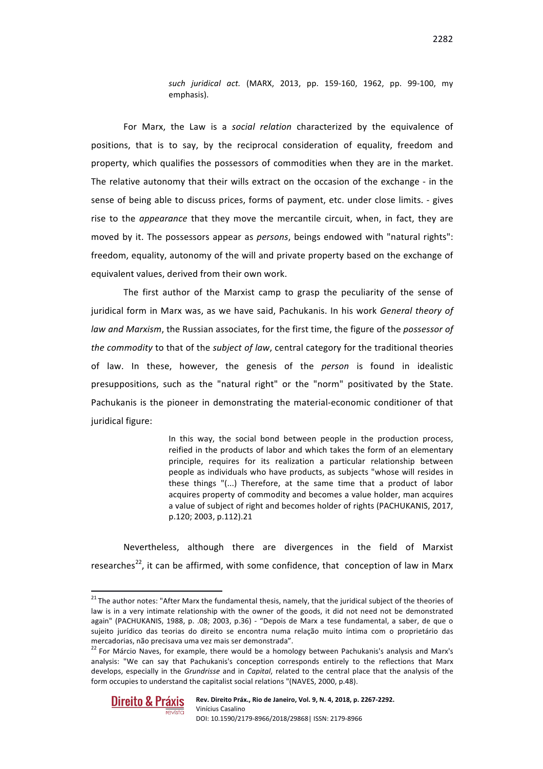*such juridical act.* (MARX, 2013, pp. 159-160, 1962, pp. 99-100, my emphasis).

For Marx, the Law is a *social relation* characterized by the equivalence of positions, that is to say, by the reciprocal consideration of equality, freedom and property, which qualifies the possessors of commodities when they are in the market. The relative autonomy that their wills extract on the occasion of the exchange - in the sense of being able to discuss prices, forms of payment, etc. under close limits. - gives rise to the *appearance* that they move the mercantile circuit, when, in fact, they are moved by it. The possessors appear as *persons*, beings endowed with "natural rights": freedom, equality, autonomy of the will and private property based on the exchange of equivalent values, derived from their own work.

The first author of the Marxist camp to grasp the peculiarity of the sense of juridical form in Marx was, as we have said, Pachukanis. In his work *General theory of law and Marxism*, the Russian associates, for the first time, the figure of the *possessor of the commodity* to that of the *subject of law*, central category for the traditional theories of law. In these, however, the genesis of the *person* is found in idealistic presuppositions, such as the "natural right" or the "norm" positivated by the State. Pachukanis is the pioneer in demonstrating the material-economic conditioner of that juridical figure:

> In this way, the social bond between people in the production process, reified in the products of labor and which takes the form of an elementary principle, requires for its realization a particular relationship between people as individuals who have products, as subjects "whose will resides in these things "(...) Therefore, at the same time that a product of labor acquires property of commodity and becomes a value holder, man acquires a value of subject of right and becomes holder of rights (PACHUKANIS, 2017, p.120; 2003, p.112).21

Nevertheless, although there are divergences in the field of Marxist researches<sup>22</sup>, it can be affirmed, with some confidence, that conception of law in Marx

 $22$  For Márcio Naves, for example, there would be a homology between Pachukanis's analysis and Marx's analysis: "We can say that Pachukanis's conception corresponds entirely to the reflections that Marx develops, especially in the *Grundrisse* and in *Capital*, related to the central place that the analysis of the form occupies to understand the capitalist social relations "(NAVES, 2000, p.48).



 $21$  The author notes: "After Marx the fundamental thesis, namely, that the juridical subject of the theories of law is in a very intimate relationship with the owner of the goods, it did not need not be demonstrated again" (PACHUKANIS, 1988, p. .08; 2003, p.36) - "Depois de Marx a tese fundamental, a saber, de que o sujeito jurídico das teorias do direito se encontra numa relação muito íntima com o proprietário das mercadorias, não precisava uma vez mais ser demonstrada".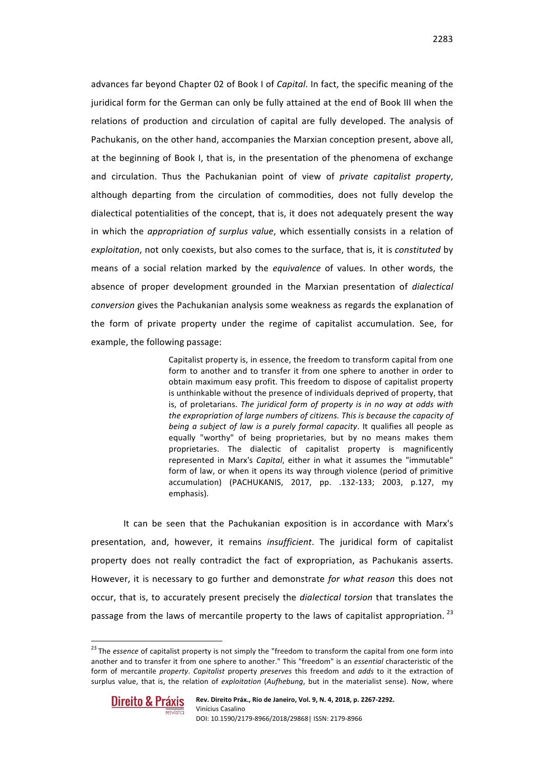advances far beyond Chapter 02 of Book I of *Capital*. In fact, the specific meaning of the juridical form for the German can only be fully attained at the end of Book III when the relations of production and circulation of capital are fully developed. The analysis of Pachukanis, on the other hand, accompanies the Marxian conception present, above all, at the beginning of Book I, that is, in the presentation of the phenomena of exchange and circulation. Thus the Pachukanian point of view of *private capitalist property*, although departing from the circulation of commodities, does not fully develop the dialectical potentialities of the concept, that is, it does not adequately present the way in which the *appropriation* of *surplus value*, which essentially consists in a relation of *exploitation*, not only coexists, but also comes to the surface, that is, it is *constituted* by means of a social relation marked by the *equivalence* of values. In other words, the absence of proper development grounded in the Marxian presentation of *dialectical conversion* gives the Pachukanian analysis some weakness as regards the explanation of the form of private property under the regime of capitalist accumulation. See, for example, the following passage:

> Capitalist property is, in essence, the freedom to transform capital from one form to another and to transfer it from one sphere to another in order to obtain maximum easy profit. This freedom to dispose of capitalist property is unthinkable without the presence of individuals deprived of property, that is, of proletarians. The juridical form of property is in no way at odds with *the expropriation of large numbers of citizens. This is because the capacity of being a subject of law is a purely formal capacity*. It qualifies all people as equally "worthy" of being proprietaries, but by no means makes them proprietaries. The dialectic of capitalist property is magnificently represented in Marx's *Capital*, either in what it assumes the "immutable" form of law, or when it opens its way through violence (period of primitive accumulation) (PACHUKANIS, 2017, pp. .132-133; 2003, p.127, my emphasis).

It can be seen that the Pachukanian exposition is in accordance with Marx's presentation, and, however, it remains *insufficient*. The juridical form of capitalist property does not really contradict the fact of expropriation, as Pachukanis asserts. However, it is necessary to go further and demonstrate *for what reason* this does not occur, that is, to accurately present precisely the *dialectical torsion* that translates the passage from the laws of mercantile property to the laws of capitalist appropriation.<sup>23</sup>

<sup>&</sup>lt;sup>23</sup> The *essence* of capitalist property is not simply the "freedom to transform the capital from one form into another and to transfer it from one sphere to another." This "freedom" is an *essential* characteristic of the form of mercantile *property. Capitalist* property *preserves* this freedom and *adds* to it the extraction of surplus value, that is, the relation of *exploitation* (*Aufhebung*, but in the materialist sense). Now, where

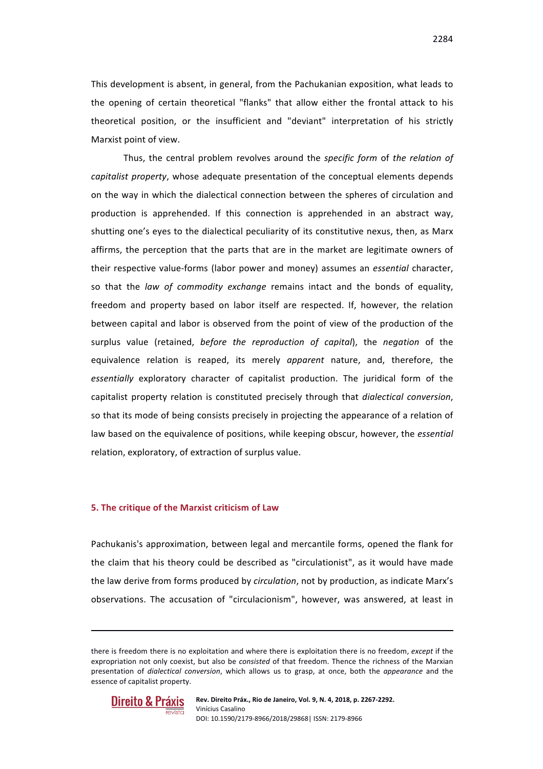This development is absent, in general, from the Pachukanian exposition, what leads to the opening of certain theoretical "flanks" that allow either the frontal attack to his theoretical position, or the insufficient and "deviant" interpretation of his strictly Marxist point of view.

Thus, the central problem revolves around the *specific form* of *the relation of capitalist property*, whose adequate presentation of the conceptual elements depends on the way in which the dialectical connection between the spheres of circulation and production is apprehended. If this connection is apprehended in an abstract way, shutting one's eyes to the dialectical peculiarity of its constitutive nexus, then, as Marx affirms, the perception that the parts that are in the market are legitimate owners of their respective value-forms (labor power and money) assumes an *essential* character, so that the *law of commodity exchange* remains intact and the bonds of equality, freedom and property based on labor itself are respected. If, however, the relation between capital and labor is observed from the point of view of the production of the surplus value (retained, *before the reproduction of capital*), the *negation* of the equivalence relation is reaped, its merely *apparent* nature, and, therefore, the essentially exploratory character of capitalist production. The juridical form of the capitalist property relation is constituted precisely through that *dialectical conversion*, so that its mode of being consists precisely in projecting the appearance of a relation of law based on the equivalence of positions, while keeping obscur, however, the *essential* relation, exploratory, of extraction of surplus value.

#### **5.** The critique of the Marxist criticism of Law

Pachukanis's approximation, between legal and mercantile forms, opened the flank for the claim that his theory could be described as "circulationist", as it would have made the law derive from forms produced by *circulation*, not by production, as indicate Marx's observations. The accusation of "circulacionism", however, was answered, at least in

 



there is freedom there is no exploitation and where there is exploitation there is no freedom, *except* if the expropriation not only coexist, but also be *consisted* of that freedom. Thence the richness of the Marxian presentation of *dialectical conversion*, which allows us to grasp, at once, both the *appearance* and the essence of capitalist property.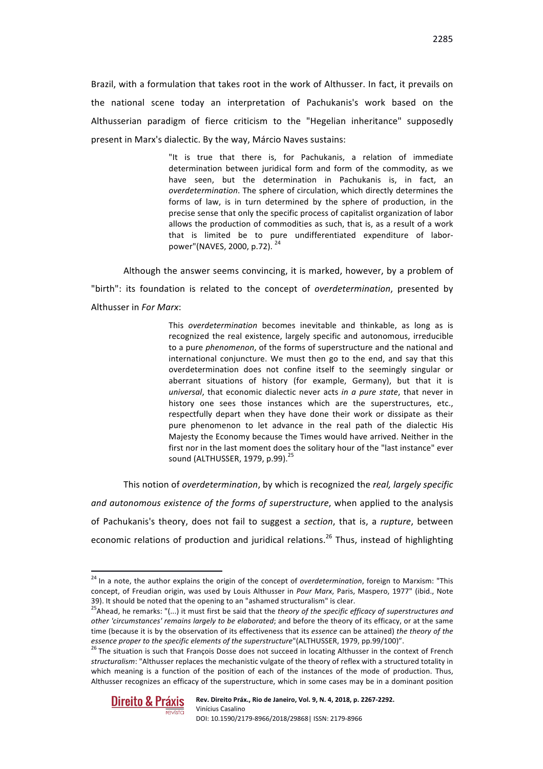Brazil, with a formulation that takes root in the work of Althusser. In fact, it prevails on the national scene today an interpretation of Pachukanis's work based on the Althusserian paradigm of fierce criticism to the "Hegelian inheritance" supposedly present in Marx's dialectic. By the way, Márcio Naves sustains:

> "It is true that there is, for Pachukanis, a relation of immediate determination between juridical form and form of the commodity, as we have seen, but the determination in Pachukanis is, in fact, an *overdetermination*. The sphere of circulation, which directly determines the forms of law, is in turn determined by the sphere of production, in the precise sense that only the specific process of capitalist organization of labor allows the production of commodities as such, that is, as a result of a work that is limited be to pure undifferentiated expenditure of laborpower"(NAVES, 2000, p.72).  $24$

Although the answer seems convincing, it is marked, however, by a problem of "birth": its foundation is related to the concept of *overdetermination*, presented by Althusser in *For Marx*:

> This *overdetermination* becomes inevitable and thinkable, as long as is recognized the real existence, largely specific and autonomous, irreducible to a pure *phenomenon*, of the forms of superstructure and the national and international conjuncture. We must then go to the end, and say that this overdetermination does not confine itself to the seemingly singular or aberrant situations of history (for example, Germany), but that it is *universal*, that economic dialectic never acts *in a pure state*, that never in history one sees those instances which are the superstructures, etc., respectfully depart when they have done their work or dissipate as their pure phenomenon to let advance in the real path of the dialectic His Majesty the Economy because the Times would have arrived. Neither in the first nor in the last moment does the solitary hour of the "last instance" ever sound (ALTHUSSER, 1979, p.99). $^{25}$

This notion of *overdetermination*, by which is recognized the *real*, largely specific *and autonomous existence of the forms of superstructure*, when applied to the analysis of Pachukanis's theory, does not fail to suggest a *section*, that is, a *rupture*, between economic relations of production and juridical relations.<sup>26</sup> Thus, instead of highlighting

*essence proper to the specific elements of the superstructure*"(ALTHUSSER, 1979, pp.99/100)".<br><sup>26</sup> The situation is such that François Dosse does not succeed in locating Althusser in the context of French structuralism: "Althusser replaces the mechanistic vulgate of the theory of reflex with a structured totality in which meaning is a function of the position of each of the instances of the mode of production. Thus, Althusser recognizes an efficacy of the superstructure, which in some cases may be in a dominant position



<sup>&</sup>lt;sup>24</sup> In a note, the author explains the origin of the concept of *overdetermination*, foreign to Marxism: "This concept, of Freudian origin, was used by Louis Althusser in *Pour Marx*, Paris, Maspero, 1977" (ibid., Note 39). It should be noted that the opening to an "ashamed structuralism" is clear.

<sup>&</sup>lt;sup>25</sup>Ahead, he remarks: "(...) it must first be said that the *theory of the specific efficacy of superstructures and other 'circumstances' remains largely to be elaborated*; and before the theory of its efficacy, or at the same time (because it is by the observation of its effectiveness that its *essence* can be attained) the theory of the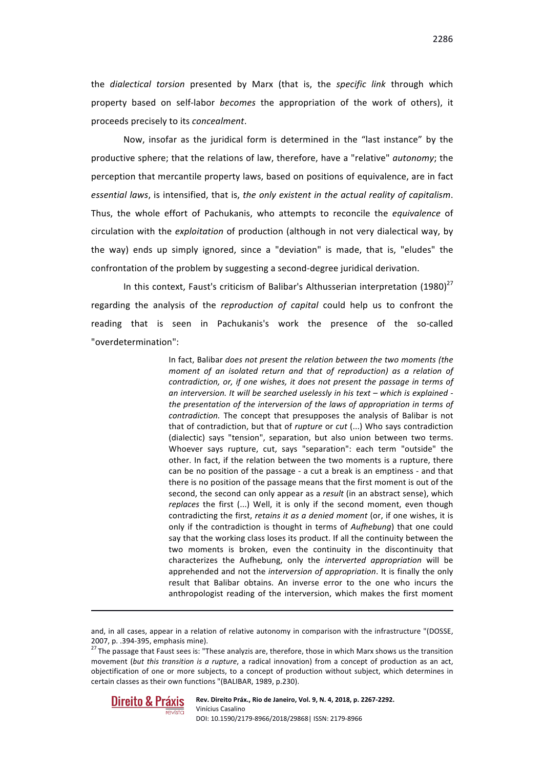the *dialectical torsion* presented by Marx (that is, the *specific link* through which property based on self-labor *becomes* the appropriation of the work of others), it proceeds precisely to its *concealment*.

Now, insofar as the juridical form is determined in the "last instance" by the productive sphere; that the relations of law, therefore, have a "relative" *autonomy*; the perception that mercantile property laws, based on positions of equivalence, are in fact *essential laws*, is intensified, that is, the only existent in the actual reality of capitalism. Thus, the whole effort of Pachukanis, who attempts to reconcile the *equivalence* of circulation with the *exploitation* of production (although in not very dialectical way, by the way) ends up simply ignored, since a "deviation" is made, that is, "eludes" the confrontation of the problem by suggesting a second-degree juridical derivation.

In this context, Faust's criticism of Balibar's Althusserian interpretation  $(1980)^{27}$ regarding the analysis of the *reproduction of capital* could help us to confront the reading that is seen in Pachukanis's work the presence of the so-called "overdetermination":

> In fact, Balibar *does not present the relation between the two moments (the moment of an isolated return and that of reproduction)* as a relation of *contradiction, or, if one wishes, it does not present the passage in terms of* an interversion. It will be searched uselessly in his text - which is explained the presentation of the interversion of the laws of appropriation in terms of *contradiction*. The concept that presupposes the analysis of Balibar is not that of contradiction, but that of *rupture* or *cut* (...) Who says contradiction (dialectic) says "tension", separation, but also union between two terms. Whoever says rupture, cut, says "separation": each term "outside" the other. In fact, if the relation between the two moments is a rupture, there can be no position of the passage - a cut a break is an emptiness - and that there is no position of the passage means that the first moment is out of the second, the second can only appear as a *result* (in an abstract sense), which *replaces* the first (...) Well, it is only if the second moment, even though contradicting the first, *retains it as a denied moment* (or, if one wishes, it is only if the contradiction is thought in terms of *Aufhebung*) that one could say that the working class loses its product. If all the continuity between the two moments is broken, even the continuity in the discontinuity that characterizes the Aufhebung, only the *interverted appropriation* will be apprehended and not the *interversion of appropriation*. It is finally the only result that Balibar obtains. An inverse error to the one who incurs the anthropologist reading of the interversion, which makes the first moment

<u> 1989 - Andrea San Andrew Maria (h. 1989).</u><br>1900 - Andrew Maria (h. 1980).

<sup>2007,</sup> p. .394-395, emphasis mine).<br><sup>27</sup> The passage that Faust sees is: "These analyzis are, therefore, those in which Marx shows us the transition movement (but this transition is a rupture, a radical innovation) from a concept of production as an act, objectification of one or more subjects, to a concept of production without subject, which determines in certain classes as their own functions "(BALIBAR, 1989, p.230).



and, in all cases, appear in a relation of relative autonomy in comparison with the infrastructure "(DOSSE,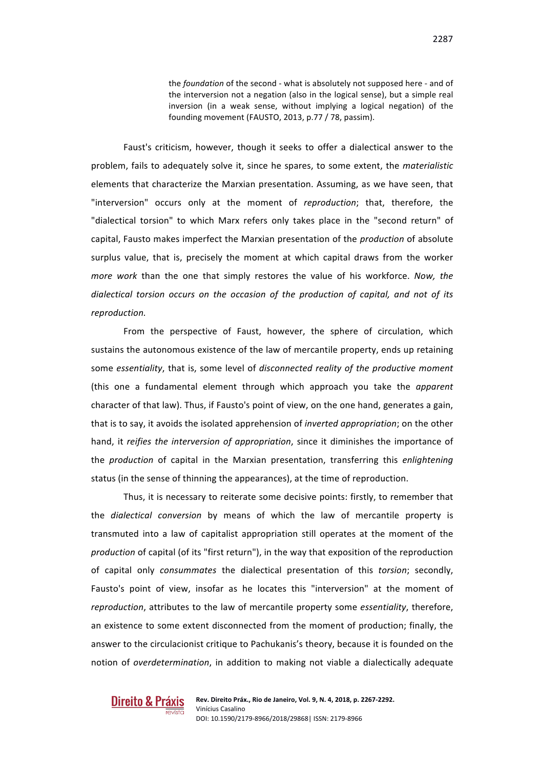the *foundation* of the second - what is absolutely not supposed here - and of the interversion not a negation (also in the logical sense), but a simple real inversion (in a weak sense, without implying a logical negation) of the founding movement (FAUSTO, 2013, p.77 / 78, passim).

Faust's criticism, however, though it seeks to offer a dialectical answer to the problem, fails to adequately solve it, since he spares, to some extent, the *materialistic* elements that characterize the Marxian presentation. Assuming, as we have seen, that "interversion" occurs only at the moment of *reproduction*; that, therefore, the "dialectical torsion" to which Marx refers only takes place in the "second return" of capital, Fausto makes imperfect the Marxian presentation of the *production* of absolute surplus value, that is, precisely the moment at which capital draws from the worker *more* work than the one that simply restores the value of his workforce. Now, the dialectical torsion occurs on the occasion of the production of capital, and not of its *reproduction.*

From the perspective of Faust, however, the sphere of circulation, which sustains the autonomous existence of the law of mercantile property, ends up retaining some *essentiality*, that is, some level of *disconnected reality of the productive moment* (this one a fundamental element through which approach you take the *apparent* character of that law). Thus, if Fausto's point of view, on the one hand, generates a gain, that is to say, it avoids the isolated apprehension of *inverted appropriation*; on the other hand, it *reifies the interversion of appropriation*, since it diminishes the importance of the *production* of capital in the Marxian presentation, transferring this *enlightening* status (in the sense of thinning the appearances), at the time of reproduction.

Thus, it is necessary to reiterate some decisive points: firstly, to remember that the *dialectical conversion* by means of which the law of mercantile property is transmuted into a law of capitalist appropriation still operates at the moment of the *production* of capital (of its "first return"), in the way that exposition of the reproduction of capital only *consummates* the dialectical presentation of this *torsion*; secondly, Fausto's point of view, insofar as he locates this "interversion" at the moment of *reproduction*, attributes to the law of mercantile property some *essentiality*, therefore, an existence to some extent disconnected from the moment of production; finally, the answer to the circulacionist critique to Pachukanis's theory, because it is founded on the notion of *overdetermination*, in addition to making not viable a dialectically adequate

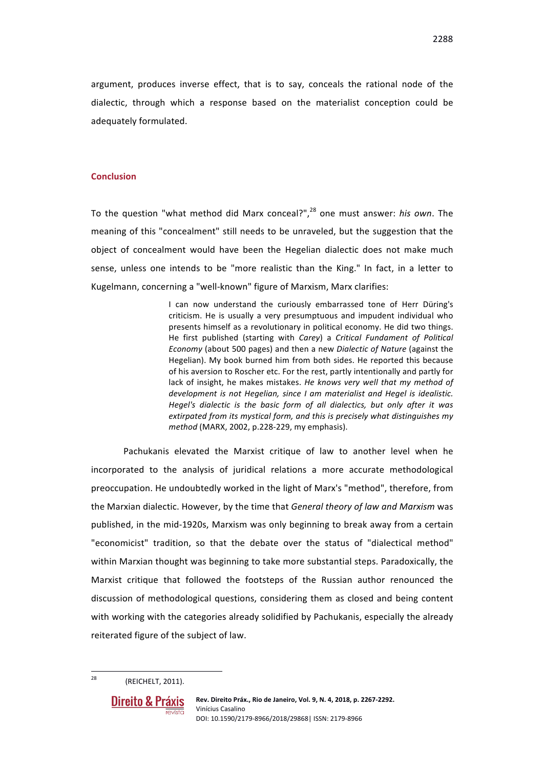argument, produces inverse effect, that is to say, conceals the rational node of the dialectic, through which a response based on the materialist conception could be adequately formulated.

#### **Conclusion**

To the question "what method did Marx conceal?",<sup>28</sup> one must answer: his own. The meaning of this "concealment" still needs to be unraveled, but the suggestion that the object of concealment would have been the Hegelian dialectic does not make much sense, unless one intends to be "more realistic than the King." In fact, in a letter to Kugelmann, concerning a "well-known" figure of Marxism, Marx clarifies:

> I can now understand the curiously embarrassed tone of Herr Düring's criticism. He is usually a very presumptuous and impudent individual who presents himself as a revolutionary in political economy. He did two things. He first published (starting with *Carey*) a *Critical Fundament of Political Economy* (about 500 pages) and then a new *Dialectic of Nature* (against the Hegelian). My book burned him from both sides. He reported this because of his aversion to Roscher etc. For the rest, partly intentionally and partly for lack of insight, he makes mistakes. He knows very well that my method of *development is not Hegelian, since I am materialist and Hegel is idealistic.* Hegel's dialectic is the basic form of all dialectics, but only after it was extirpated from its mystical form, and this is precisely what distinguishes my *method* (MARX, 2002, p.228-229, my emphasis).

Pachukanis elevated the Marxist critique of law to another level when he incorporated to the analysis of juridical relations a more accurate methodological preoccupation. He undoubtedly worked in the light of Marx's "method", therefore, from the Marxian dialectic. However, by the time that *General theory of law and Marxism* was published, in the mid-1920s, Marxism was only beginning to break away from a certain "economicist" tradition, so that the debate over the status of "dialectical method" within Marxian thought was beginning to take more substantial steps. Paradoxically, the Marxist critique that followed the footsteps of the Russian author renounced the discussion of methodological questions, considering them as closed and being content with working with the categories already solidified by Pachukanis, especially the already reiterated figure of the subject of law.

<sup>28</sup> (REICHELT, 2011).

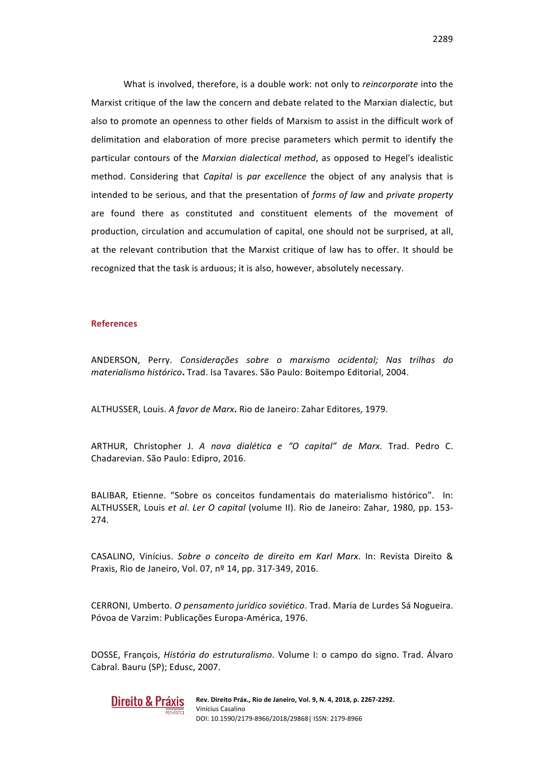What is involved, therefore, is a double work: not only to *reincorporate* into the Marxist critique of the law the concern and debate related to the Marxian dialectic, but also to promote an openness to other fields of Marxism to assist in the difficult work of delimitation and elaboration of more precise parameters which permit to identify the particular contours of the *Marxian dialectical method*, as opposed to Hegel's idealistic method. Considering that *Capital* is *par excellence* the object of any analysis that is intended to be serious, and that the presentation of *forms of law* and *private property* are found there as constituted and constituent elements of the movement of production, circulation and accumulation of capital, one should not be surprised, at all, at the relevant contribution that the Marxist critique of law has to offer. It should be recognized that the task is arduous; it is also, however, absolutely necessary.

#### **References**

ANDERSON, Perry. *Considerações sobre o marxismo ocidental;* Nas trilhas do *materialismo histórico***.** Trad. Isa Tavares. São Paulo: Boitempo Editorial, 2004.

ALTHUSSER, Louis. *A favor de Marx*. Rio de Janeiro: Zahar Editores, 1979.

ARTHUR, Christopher J. A nova dialética e "O capital" de Marx. Trad. Pedro C. Chadarevian. São Paulo: Edipro, 2016.

BALIBAR, Etienne. "Sobre os conceitos fundamentais do materialismo histórico". In: ALTHUSSER, Louis *et al. Ler O capital* (volume II). Rio de Janeiro: Zahar, 1980, pp. 153-274. 

CASALINO, Vinícius. Sobre o conceito de direito em Karl Marx. In: Revista Direito & Praxis, Rio de Janeiro, Vol. 07, nº 14, pp. 317-349, 2016.

CERRONI, Umberto. O pensamento jurídico soviético. Trad. Maria de Lurdes Sá Nogueira. Póvoa de Varzim: Publicações Europa-América, 1976.

DOSSE, François, *História do estruturalismo*. Volume I: o campo do signo. Trad. Álvaro Cabral. Bauru (SP); Edusc, 2007.



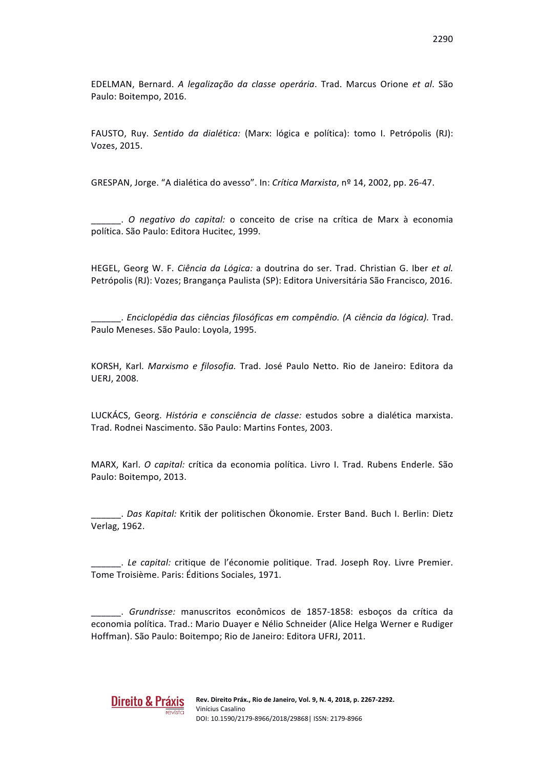EDELMAN, Bernard. *A legalização da classe operária*. Trad. Marcus Orione *et al*. São Paulo: Boitempo, 2016.

FAUSTO, Ruy. *Sentido da dialética:* (Marx: lógica e política): tomo I. Petrópolis (RJ): Vozes, 2015. 

GRESPAN, Jorge. "A dialética do avesso". In: *Crítica Marxista*, nº 14, 2002, pp. 26-47.

\_\_\_\_\_\_. *O negativo do capital:* o conceito de crise na crítica de Marx à economia política. São Paulo: Editora Hucitec, 1999.

HEGEL, Georg W. F. *Ciência da Lógica:* a doutrina do ser. Trad. Christian G. Iber *et al.* Petrópolis (RJ): Vozes; Brangança Paulista (SP): Editora Universitária São Francisco, 2016.

\_\_\_\_\_\_. *Enciclopédia das ciências filosóficas em compêndio. (A ciência da lógica).* Trad. Paulo Meneses. São Paulo: Loyola, 1995.

KORSH, Karl. *Marxismo e filosofia*. Trad. José Paulo Netto. Rio de Janeiro: Editora da UERJ, 2008.

LUCKÁCS, Georg. *História e consciência de classe:* estudos sobre a dialética marxista. Trad. Rodnei Nascimento. São Paulo: Martins Fontes, 2003.

MARX, Karl. O capital: crítica da economia política. Livro I. Trad. Rubens Enderle. São Paulo: Boitempo, 2013.

. *Das Kapital:* Kritik der politischen Ökonomie. Erster Band. Buch I. Berlin: Dietz Verlag, 1962.

. *Le capital:* critique de l'économie politique. Trad. Joseph Roy. Livre Premier. Tome Troisième. Paris: Éditions Sociales, 1971.

\_\_\_\_\_\_. *Grundrisse:* manuscritos econômicos de 1857-1858: esboços da crítica da economia política. Trad.: Mario Duayer e Nélio Schneider (Alice Helga Werner e Rudiger Hoffman). São Paulo: Boitempo; Rio de Janeiro: Editora UFRJ, 2011.

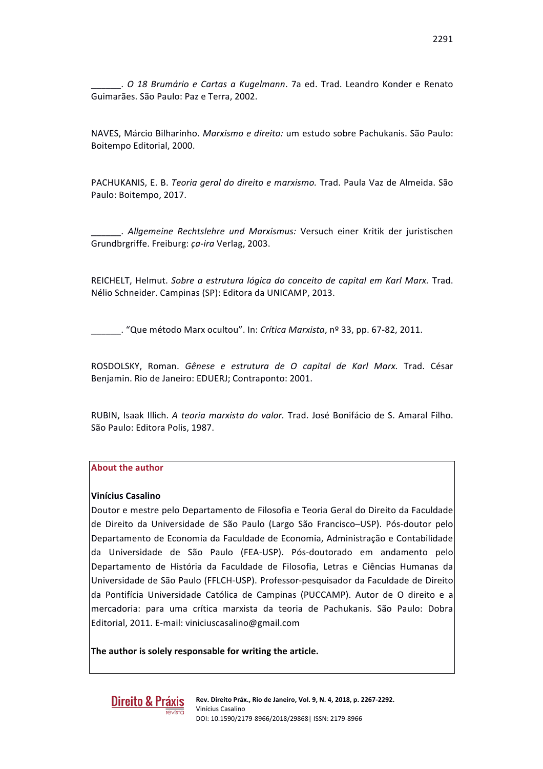\_\_\_\_\_\_. *O 18 Brumário e Cartas a Kugelmann*. 7a ed. Trad. Leandro Konder e Renato Guimarães. São Paulo: Paz e Terra, 2002.

NAVES, Márcio Bilharinho. *Marxismo e direito:* um estudo sobre Pachukanis. São Paulo: Boitempo Editorial, 2000.

PACHUKANIS, E. B. *Teoria geral do direito e marxismo*. Trad. Paula Vaz de Almeida. São Paulo: Boitempo, 2017.

\_\_\_\_\_\_. *Allgemeine Rechtslehre und Marxismus:* Versuch einer Kritik der juristischen Grundbrgriffe. Freiburg: *ça-ira* Verlag, 2003.

REICHELT, Helmut. Sobre a estrutura lógica do conceito de capital em Karl Marx. Trad. Nélio Schneider. Campinas (SP): Editora da UNICAMP, 2013.

\_\_\_\_\_\_. "Que método Marx ocultou". In: *Crítica Marxista*, nº 33, pp. 67-82, 2011.

ROSDOLSKY, Roman. Gênese e estrutura de O capital de Karl Marx. Trad. César Benjamin. Rio de Janeiro: EDUERJ; Contraponto: 2001.

RUBIN, Isaak Illich. *A teorig marxista do valor.* Trad. José Bonifácio de S. Amaral Filho. São Paulo: Editora Polis, 1987.

### **About the author**

### **Vinícius Casalino**

Doutor e mestre pelo Departamento de Filosofia e Teoria Geral do Direito da Faculdade de Direito da Universidade de São Paulo (Largo São Francisco-USP). Pós-doutor pelo Departamento de Economia da Faculdade de Economia, Administração e Contabilidade da Universidade de São Paulo (FEA-USP). Pós-doutorado em andamento pelo Departamento de História da Faculdade de Filosofia, Letras e Ciências Humanas da Universidade de São Paulo (FFLCH-USP). Professor-pesquisador da Faculdade de Direito da Pontifícia Universidade Católica de Campinas (PUCCAMP). Autor de O direito e a mercadoria: para uma crítica marxista da teoria de Pachukanis. São Paulo: Dobra Editorial, 2011. E-mail: viniciuscasalino@gmail.com

The author is solely responsable for writing the article.